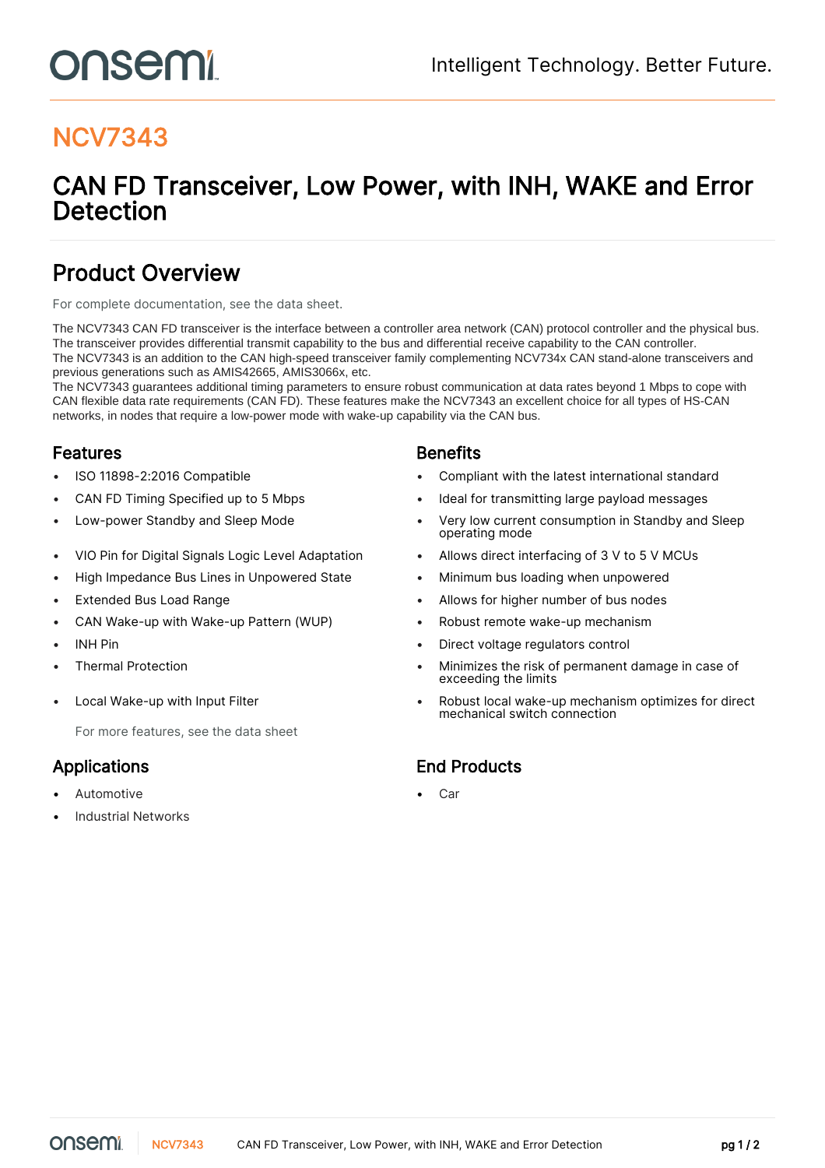# onsemi

# NCV7343

# CAN FD Transceiver, Low Power, with INH, WAKE and Error Detection

## Product Overview

For complete documentation, see the [data sheet.](https://www.onsemi.com/PowerSolutions/product.do?id=NCV7343)

The NCV7343 CAN FD transceiver is the interface between a controller area network (CAN) protocol controller and the physical bus. The transceiver provides differential transmit capability to the bus and differential receive capability to the CAN controller. The NCV7343 is an addition to the CAN high-speed transceiver family complementing NCV734x CAN stand-alone transceivers and previous generations such as AMIS42665, AMIS3066x, etc.

The NCV7343 guarantees additional timing parameters to ensure robust communication at data rates beyond 1 Mbps to cope with CAN flexible data rate requirements (CAN FD). These features make the NCV7343 an excellent choice for all types of HS-CAN networks, in nodes that require a low-power mode with wake-up capability via the CAN bus.

### **Features Benefits**

- 
- 
- 
- VIO Pin for Digital Signals Logic Level Adaptation Allows direct interfacing of 3 V to 5 V MCUs
- High Impedance Bus Lines in Unpowered State Minimum bus loading when unpowered
- 
- CAN Wake-up with Wake-up Pattern (WUP) Robust remote wake-up mechanism
- 
- 
- 

For more features, see the [data sheet](https://www.onsemi.com/PowerSolutions/product.do?id=NCV7343)

- Automotive **Care and Care and Care and Care and Care and Care and Care and Care and Care and Care and Care and Care and Care and Care and Care and Care and Care and Care and Care and Care and Care and Care and Care and Car**
- Industrial Networks

- ISO 11898-2:2016 Compatible Compliant with the latest international standard
- CAN FD Timing Specified up to 5 Mbps Ideal for transmitting large payload messages
- Low-power Standby and Sleep Mode  **Very low current consumption in Standby and Sleep** operating mode
	-
	-
- Extended Bus Load Range Allows for higher number of bus nodes
	-
- INH Pin Direct voltage regulators control
- Thermal Protection Minimizes the risk of permanent damage in case of exceeding the limits
- Local Wake-up with Input Filter  **Community 1998** Robust local wake-up mechanism optimizes for direct mechanical switch connection

### Applications End Products